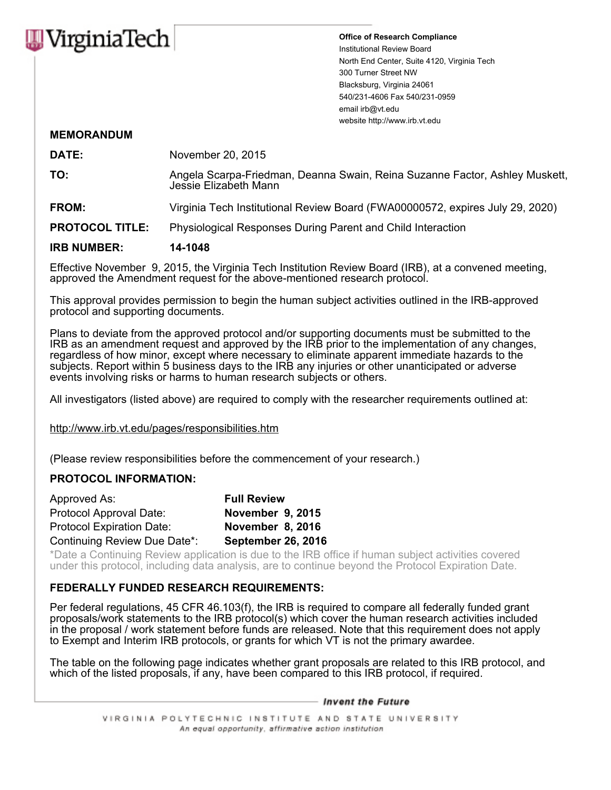

**Office of Research Compliance** Institutional Review Board North End Center, Suite 4120, Virginia Tech 300 Turner Street NW Blacksburg, Virginia 24061 540/231-4606 Fax 540/231-0959 email irb@vt.edu website http://www.irb.vt.edu

## **MEMORANDUM**

| <b>DATE:</b>           | November 20, 2015                                                                                    |  |
|------------------------|------------------------------------------------------------------------------------------------------|--|
| TO:                    | Angela Scarpa-Friedman, Deanna Swain, Reina Suzanne Factor, Ashley Muskett,<br>Jessie Elizabeth Mann |  |
| FROM:                  | Virginia Tech Institutional Review Board (FWA00000572, expires July 29, 2020)                        |  |
| <b>PROTOCOL TITLE:</b> | Physiological Responses During Parent and Child Interaction                                          |  |
| <b>IRB NUMBER:</b>     | 14-1048                                                                                              |  |

Effective November 9, 2015, the Virginia Tech Institution Review Board (IRB), at a convened meeting, approved the Amendment request for the above-mentioned research protocol.

This approval provides permission to begin the human subject activities outlined in the IRB-approved protocol and supporting documents.

Plans to deviate from the approved protocol and/or supporting documents must be submitted to the IRB as an amendment request and approved by the IRB prior to the implementation of any changes, regardless of how minor, except where necessary to eliminate apparent immediate hazards to the subjects. Report within 5 business days to the IRB any injuries or other unanticipated or adverse events involving risks or harms to human research subjects or others.

All investigators (listed above) are required to comply with the researcher requirements outlined at:

http://www.irb.vt.edu/pages/responsibilities.htm

(Please review responsibilities before the commencement of your research.)

## **PROTOCOL INFORMATION:**

| Approved As:                     | <b>Full Review</b>        |
|----------------------------------|---------------------------|
| Protocol Approval Date:          | November 9, 2015          |
| <b>Protocol Expiration Date:</b> | November 8, 2016          |
| Continuing Review Due Date*:     | <b>September 26, 2016</b> |

\*Date a Continuing Review application is due to the IRB office if human subject activities covered under this protocol, including data analysis, are to continue beyond the Protocol Expiration Date.

## **FEDERALLY FUNDED RESEARCH REQUIREMENTS:**

Per federal regulations, 45 CFR 46.103(f), the IRB is required to compare all federally funded grant proposals/work statements to the IRB protocol(s) which cover the human research activities included in the proposal / work statement before funds are released. Note that this requirement does not apply to Exempt and Interim IRB protocols, or grants for which VT is not the primary awardee.

The table on the following page indicates whether grant proposals are related to this IRB protocol, and which of the listed proposals, if any, have been compared to this IRB protocol, if required.

– Invent the Future